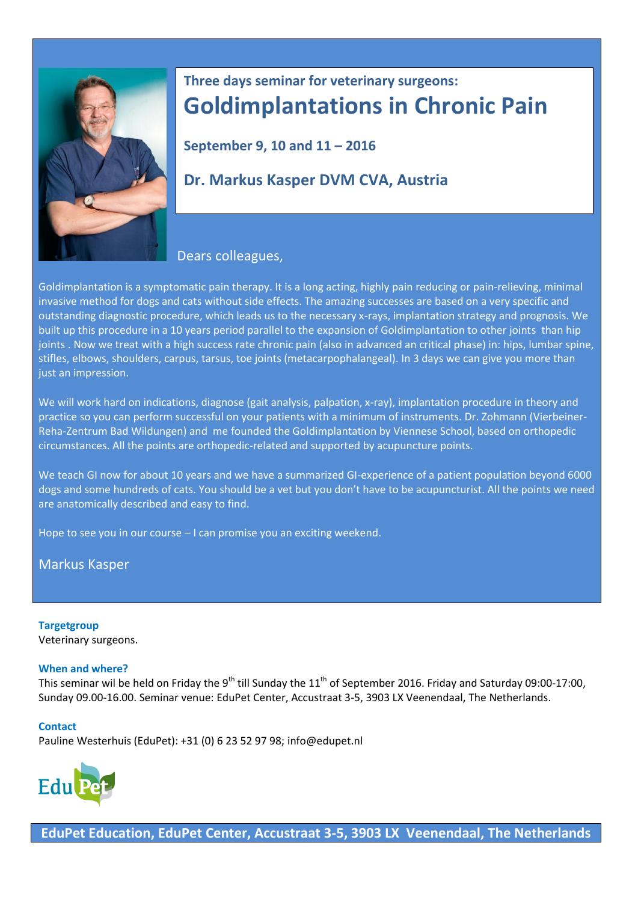

# **Three days seminar for veterinary surgeons: Goldimplantations in Chronic Pain**

**September 9, 10 and 11 – 2016**

## **Dr. Markus Kasper DVM CVA, Austria**

### Dears colleagues,

Goldimplantation is a symptomatic pain therapy. It is a long acting, highly pain reducing or pain-relieving, minimal invasive method for dogs and cats without side effects. The amazing successes are based on a very specific and outstanding diagnostic procedure, which leads us to the necessary x-rays, implantation strategy and prognosis. We built up this procedure in a 10 years period parallel to the expansion of Goldimplantation to other joints than hip joints . Now we treat with a high success rate chronic pain (also in advanced an critical phase) in: hips, lumbar spine, stifles, elbows, shoulders, carpus, tarsus, toe joints (metacarpophalangeal). In 3 days we can give you more than just an impression.

We will work hard on indications, diagnose (gait analysis, palpation, x-ray), implantation procedure in theory and practice so you can perform successful on your patients with a minimum of instruments. Dr. Zohmann (Vierbeiner-Reha-Zentrum Bad Wildungen) and me founded the Goldimplantation by Viennese School, based on orthopedic circumstances. All the points are orthopedic-related and supported by acupuncture points.

We teach GI now for about 10 years and we have a summarized GI-experience of a patient population beyond 6000 dogs and some hundreds of cats. You should be a vet but you don't have to be acupuncturist. All the points we need are anatomically described and easy to find.

Hope to see you in our course – I can promise you an exciting weekend.

Markus Kasper

#### **Targetgroup** Veterinary surgeons.

#### **When and where?**

This seminar wil be held on Friday the 9<sup>th</sup> till Sunday the 11<sup>th</sup> of September 2016. Friday and Saturday 09:00-17:00, Sunday 09.00-16.00. Seminar venue: EduPet Center, Accustraat 3-5, 3903 LX Veenendaal, The Netherlands.

#### **Contact**

Pauline Westerhuis (EduPet): +31 (0) 6 23 52 97 98; [info@edupet.nl](mailto:info@edupet.nl)



**EduPet Education, EduPet Center, Accustraat 3-5, 3903 LX Veenendaal, The Netherlands**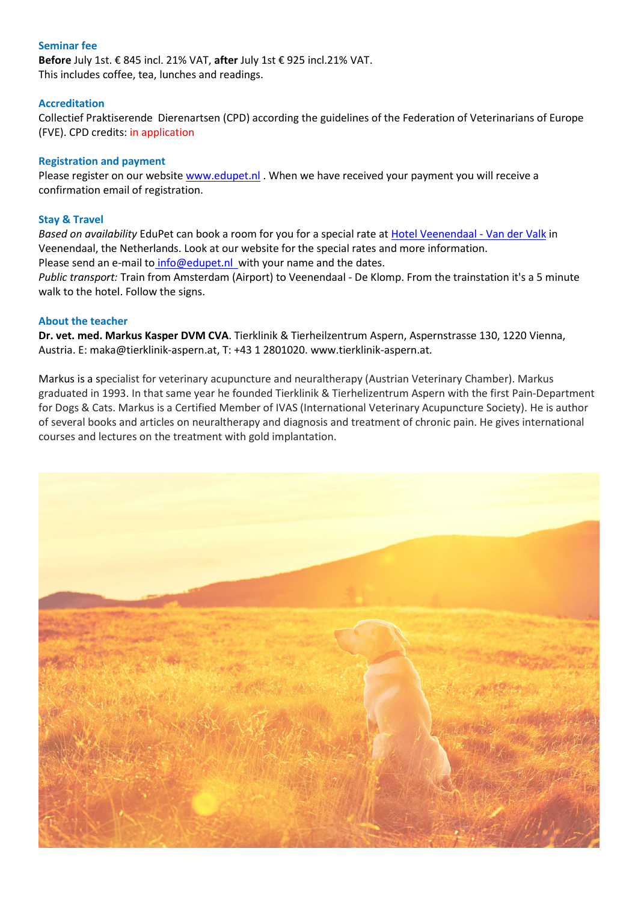#### **Seminar fee**

**Before** July 1st. € 845 incl. 21% VAT, **after** July 1st € 925 incl.21% VAT. This includes coffee, tea, lunches and readings.

#### **Accreditation**

Collectief Praktiserende Dierenartsen (CPD) according the guidelines of the Federation of Veterinarians of Europe (FVE). CPD credits: in application

#### **Registration and payment**

Please register on our websit[e www.edupet.nl](http://www.edupet.nl/) . When we have received your payment you will receive a confirmation email of registration.

#### **Stay & Travel**

*Based on availability* EduPet can book a room for you for a special rate at [Hotel Veenendaal -](https://www.hotelveenendaal.com/?gclid=CPXFj-jQg8sCFdgaGwoddzoHFg) Van der Valk in Veenendaal, the Netherlands. Look at our website for the special rates and more information. Please send an e-mail to [info@edupet.nl](mailto:info@edupet.nl) with your name and the dates. *Public transport:* Train from Amsterdam (Airport) to Veenendaal - De Klomp. From the trainstation it's a 5 minute walk to the hotel. Follow the signs.

#### **About the teacher**

**Dr. vet. med. Markus Kasper DVM CVA**. Tierklinik & Tierheilzentrum Aspern, Aspernstrasse 130, 1220 Vienna, Austria. E: [maka@tierklinik-aspern.at,](mailto:maka@tierklinik-aspern.at) T: +43 1 2801020. [www.tierklinik-aspern.at.](http://www.tierklinik-aspern.at/)

Markus is a specialist for veterinary acupuncture and neuraltherapy (Austrian Veterinary Chamber). Markus graduated in 1993. In that same year he founded Tierklinik & Tierhelizentrum Aspern with the first Pain-Department for Dogs & Cats. Markus is a Certified Member of IVAS (International Veterinary Acupuncture Society). He is author of several books and articles on neuraltherapy and diagnosis and treatment of chronic pain. He gives international courses and lectures on the treatment with gold implantation.